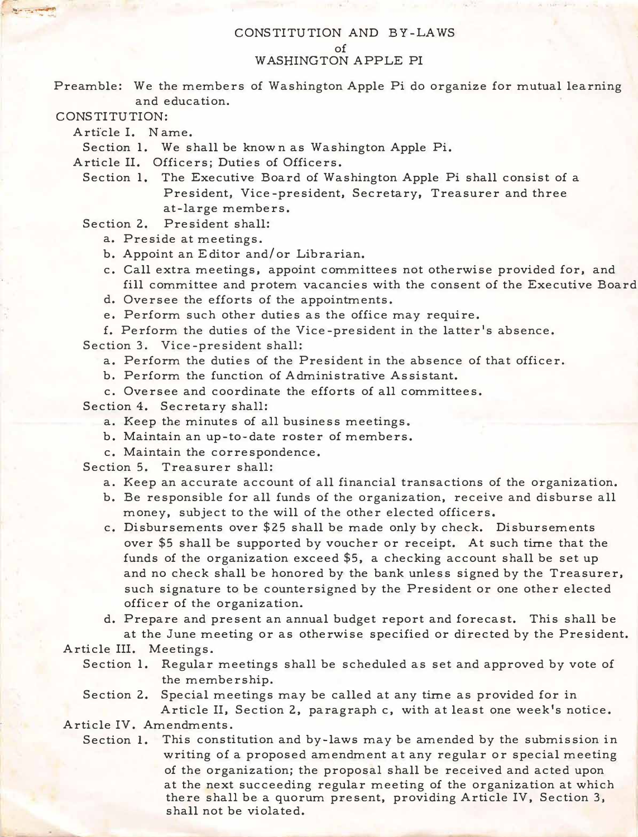## CONSTITUTION AND BY-LAWS of WASHING TON APPLE PI

Preamble: We the members of Washington Apple Pi do organize for mutual learning and education.

CONSTITUTION:

Article I. N ame.

Section 1. We shall be know n as Washington Apple Pi.

Article II. Officers; Duties of Officers.

Section 1. The Executive Board of Washington Apple Pi shall consist of a President, Vice-president, Secretary, Treasurer and three at-large members.

Section 2. President shall:

a. Preside at meetings.

- b. Appoint an Editor and/ or Librarian.
- c. Call extra meetings, appoint committees not otherwise provided for, and fill committee and protem vacancies with the consent of the Executive Board
- d. Oversee the efforts of the appointments.

e. Perform such other duties as the office may require.

f. Perform the duties of the Vice-president in the latter's absence.

Section 3. Vice-president shall:

- a. Perform the duties of the President in the absence of that officer.
- b. Perform the function of Administrative Assistant.
- c. Oversee and coordinate the efforts of all committees.

Section 4. Secretary shall:

- a. Keep the minutes of all business meetings.
- b. Maintain an up-to-date roster of members.
- c. Maintain the correspondence.

Section 5. Treasurer shall:

- a. Keep an accurate account of all financial transactions of the organization.
- b. Be responsible for all funds of the organization, receive and disburse all money, subject to the will of the other elected officers.
- c. Disbursements over \$25 shall be made only by check. Disbursements over \$5 shall be supported by voucher or receipt. At such time that the funds of the organization exceed \$5, a checking account shall be set up and no check shall be honored by the bank unless signed by the Treasurer, such signature to be countersigned by the President or one other elected officer of the organization.

d. Prepare and present an annual budget report and forecast. This shall be at the June meeting or as otherwise specified or directed by the President.

Article III. Meetings.

- Section 1. Regular meetings shall be scheduled as set and approved by vote of the membership.
- Section 2. Special meetings may be called at any time as provided for in

Article II, Section 2, paragraph c, with at least one week's notice. Article IV. Amendments.

Section 1. This constitution and by-laws may be amended by the submission in writing of a proposed amendment at any regular or special meeting of the organization; the proposal shall be received and acted upon at the next succeeding regular meeting of the organization at which there shall be a quorum present, providing Article IV, Section 3, shall not be violated.